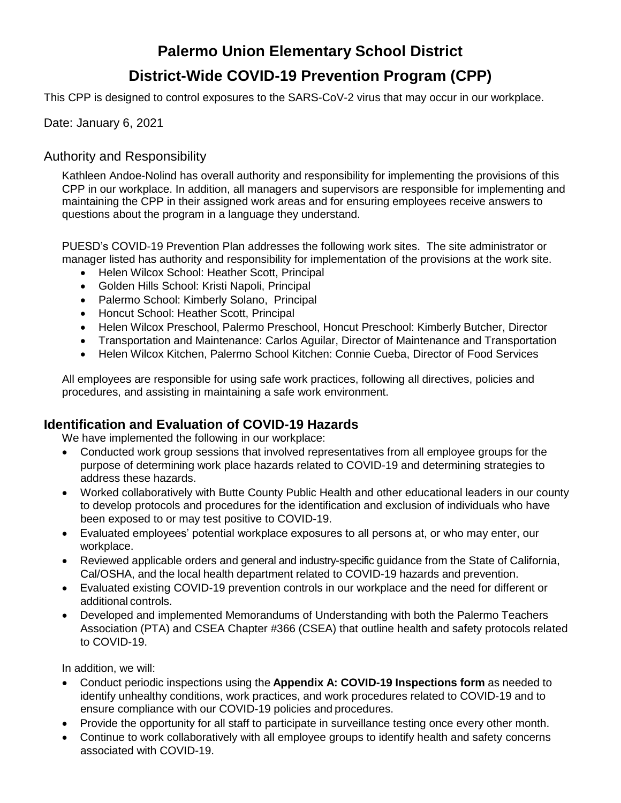# **Palermo Union Elementary School District District-Wide COVID-19 Prevention Program (CPP)**

This CPP is designed to control exposures to the SARS-CoV-2 virus that may occur in our workplace.

#### Date: January 6, 2021

### Authority and Responsibility

Kathleen Andoe-Nolind has overall authority and responsibility for implementing the provisions of this CPP in our workplace. In addition, all managers and supervisors are responsible for implementing and maintaining the CPP in their assigned work areas and for ensuring employees receive answers to questions about the program in a language they understand.

PUESD's COVID-19 Prevention Plan addresses the following work sites. The site administrator or manager listed has authority and responsibility for implementation of the provisions at the work site.

- Helen Wilcox School: Heather Scott, Principal
- Golden Hills School: Kristi Napoli, Principal
- Palermo School: Kimberly Solano, Principal
- Honcut School: Heather Scott, Principal
- Helen Wilcox Preschool, Palermo Preschool, Honcut Preschool: Kimberly Butcher, Director
- Transportation and Maintenance: Carlos Aguilar, Director of Maintenance and Transportation
- Helen Wilcox Kitchen, Palermo School Kitchen: Connie Cueba, Director of Food Services

All employees are responsible for using safe work practices, following all directives, policies and procedures, and assisting in maintaining a safe work environment.

### **Identification and Evaluation of COVID-19 Hazards**

We have implemented the following in our workplace:

- Conducted work group sessions that involved representatives from all employee groups for the purpose of determining work place hazards related to COVID-19 and determining strategies to address these hazards.
- Worked collaboratively with Butte County Public Health and other educational leaders in our county to develop protocols and procedures for the identification and exclusion of individuals who have been exposed to or may test positive to COVID-19.
- Evaluated employees' potential workplace exposures to all persons at, or who may enter, our workplace.
- Reviewed applicable orders and general and industry-specific guidance from the State of California, Cal/OSHA, and the local health department related to COVID-19 hazards and prevention.
- Evaluated existing COVID-19 prevention controls in our workplace and the need for different or additional controls.
- Developed and implemented Memorandums of Understanding with both the Palermo Teachers Association (PTA) and CSEA Chapter #366 (CSEA) that outline health and safety protocols related to COVID-19.

In addition, we will:

- Conduct periodic inspections using the **Appendix A: COVID-19 Inspections form** as needed to identify unhealthy conditions, work practices, and work procedures related to COVID-19 and to ensure compliance with our COVID-19 policies and procedures.
- Provide the opportunity for all staff to participate in surveillance testing once every other month.
- Continue to work collaboratively with all employee groups to identify health and safety concerns associated with COVID-19.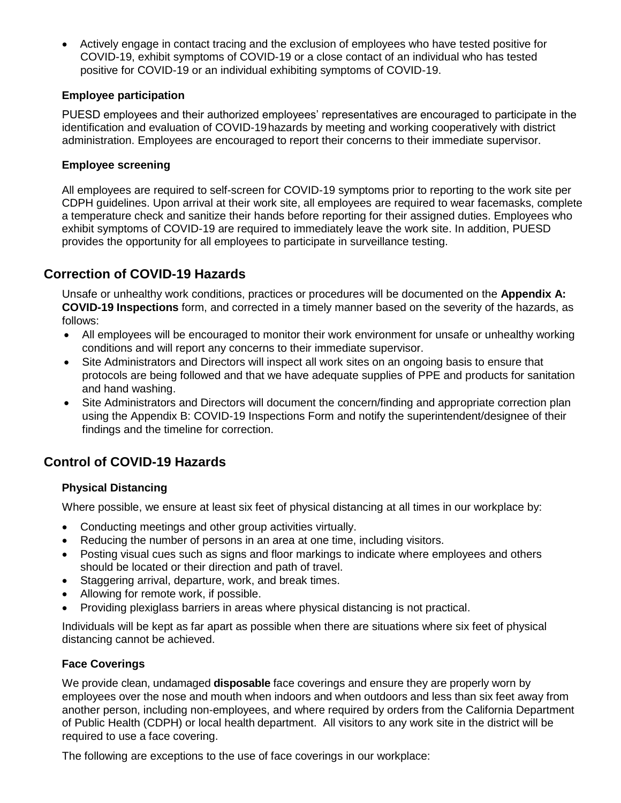Actively engage in contact tracing and the exclusion of employees who have tested positive for COVID-19, exhibit symptoms of COVID-19 or a close contact of an individual who has tested positive for COVID-19 or an individual exhibiting symptoms of COVID-19.

#### **Employee participation**

PUESD employees and their authorized employees' representatives are encouraged to participate in the identification and evaluation of COVID-19hazards by meeting and working cooperatively with district administration. Employees are encouraged to report their concerns to their immediate supervisor.

#### **Employee screening**

All employees are required to self-screen for COVID-19 symptoms prior to reporting to the work site per CDPH guidelines. Upon arrival at their work site, all employees are required to wear facemasks, complete a temperature check and sanitize their hands before reporting for their assigned duties. Employees who exhibit symptoms of COVID-19 are required to immediately leave the work site. In addition, PUESD provides the opportunity for all employees to participate in surveillance testing.

### **Correction of COVID-19 Hazards**

Unsafe or unhealthy work conditions, practices or procedures will be documented on the **Appendix A: COVID-19 Inspections** form, and corrected in a timely manner based on the severity of the hazards, as follows:

- All employees will be encouraged to monitor their work environment for unsafe or unhealthy working conditions and will report any concerns to their immediate supervisor.
- Site Administrators and Directors will inspect all work sites on an ongoing basis to ensure that protocols are being followed and that we have adequate supplies of PPE and products for sanitation and hand washing.
- Site Administrators and Directors will document the concern/finding and appropriate correction plan using the Appendix B: COVID-19 Inspections Form and notify the superintendent/designee of their findings and the timeline for correction.

# **Control of COVID-19 Hazards**

#### **Physical Distancing**

Where possible, we ensure at least six feet of physical distancing at all times in our workplace by:

- Conducting meetings and other group activities virtually.
- Reducing the number of persons in an area at one time, including visitors.
- Posting visual cues such as signs and floor markings to indicate where employees and others should be located or their direction and path of travel.
- Staggering arrival, departure, work, and break times.
- Allowing for remote work, if possible.
- Providing plexiglass barriers in areas where physical distancing is not practical.

Individuals will be kept as far apart as possible when there are situations where six feet of physical distancing cannot be achieved.

#### **Face Coverings**

We provide clean, undamaged **disposable** face coverings and ensure they are properly worn by employees over the nose and mouth when indoors and when outdoors and less than six feet away from another person, including non-employees, and where required by orders from the California Department of Public Health (CDPH) or local health department. All visitors to any work site in the district will be required to use a face covering.

The following are exceptions to the use of face coverings in our workplace: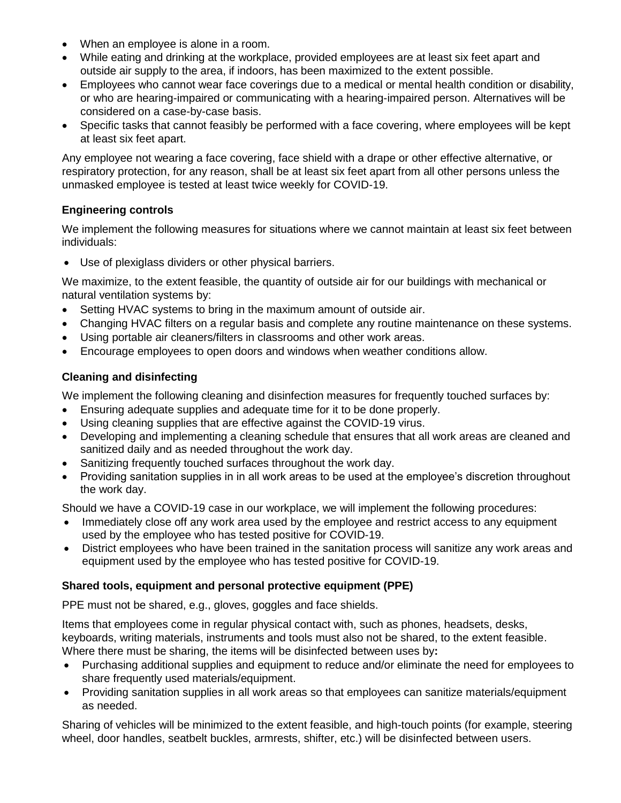- When an employee is alone in a room.
- While eating and drinking at the workplace, provided employees are at least six feet apart and outside air supply to the area, if indoors, has been maximized to the extent possible.
- Employees who cannot wear face coverings due to a medical or mental health condition or disability, or who are hearing-impaired or communicating with a hearing-impaired person. Alternatives will be considered on a case-by-case basis.
- Specific tasks that cannot feasibly be performed with a face covering, where employees will be kept at least six feet apart.

Any employee not wearing a face covering, face shield with a drape or other effective alternative, or respiratory protection, for any reason, shall be at least six feet apart from all other persons unless the unmasked employee is tested at least twice weekly for COVID-19.

#### **Engineering controls**

We implement the following measures for situations where we cannot maintain at least six feet between individuals:

Use of plexiglass dividers or other physical barriers.

We maximize, to the extent feasible, the quantity of outside air for our buildings with mechanical or natural ventilation systems by:

- Setting HVAC systems to bring in the maximum amount of outside air.
- Changing HVAC filters on a regular basis and complete any routine maintenance on these systems.
- Using portable air cleaners/filters in classrooms and other work areas.
- Encourage employees to open doors and windows when weather conditions allow.

#### **Cleaning and disinfecting**

We implement the following cleaning and disinfection measures for frequently touched surfaces by:

- Ensuring adequate supplies and adequate time for it to be done properly.
- Using cleaning supplies that are effective against the COVID-19 virus.
- Developing and implementing a cleaning schedule that ensures that all work areas are cleaned and sanitized daily and as needed throughout the work day.
- Sanitizing frequently touched surfaces throughout the work day.
- Providing sanitation supplies in in all work areas to be used at the employee's discretion throughout the work day.

Should we have a COVID-19 case in our workplace, we will implement the following procedures:

- Immediately close off any work area used by the employee and restrict access to any equipment used by the employee who has tested positive for COVID-19.
- District employees who have been trained in the sanitation process will sanitize any work areas and equipment used by the employee who has tested positive for COVID-19.

#### **Shared tools, equipment and personal protective equipment (PPE)**

PPE must not be shared, e.g., gloves, goggles and face shields.

Items that employees come in regular physical contact with, such as phones, headsets, desks, keyboards, writing materials, instruments and tools must also not be shared, to the extent feasible. Where there must be sharing, the items will be disinfected between uses by**:**

- Purchasing additional supplies and equipment to reduce and/or eliminate the need for employees to share frequently used materials/equipment.
- Providing sanitation supplies in all work areas so that employees can sanitize materials/equipment as needed.

Sharing of vehicles will be minimized to the extent feasible, and high-touch points (for example, steering wheel, door handles, seatbelt buckles, armrests, shifter, etc.) will be disinfected between users.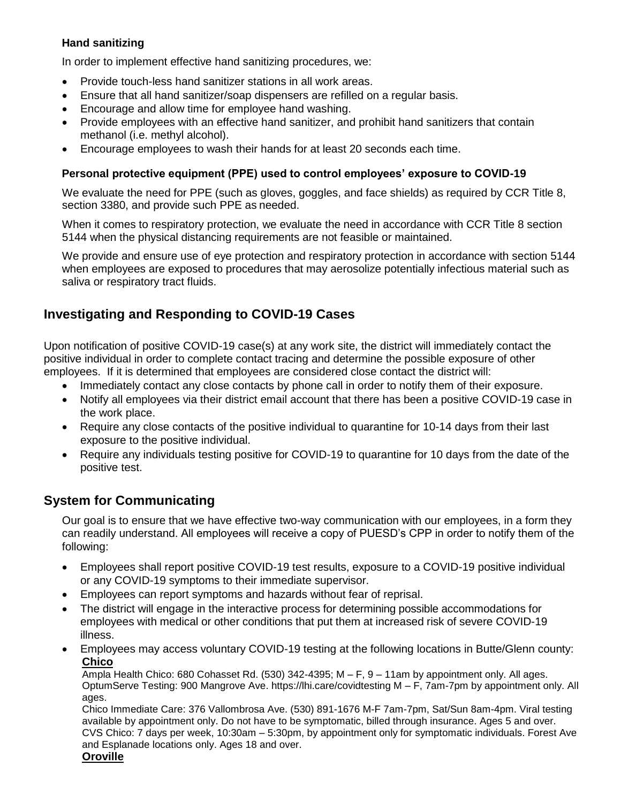#### **Hand sanitizing**

In order to implement effective hand sanitizing procedures, we:

- Provide touch-less hand sanitizer stations in all work areas.
- Ensure that all hand sanitizer/soap dispensers are refilled on a regular basis.
- Encourage and allow time for employee hand washing.
- Provide employees with an effective hand sanitizer, and prohibit hand sanitizers that contain methanol (i.e. methyl alcohol).
- Encourage employees to wash their hands for at least 20 seconds each time.

#### **Personal protective equipment (PPE) used to control employees' exposure to COVID-19**

We evaluate the need for PPE (such as gloves, goggles, and face shields) as required by CCR Title 8, section 3380, and provide such PPE as needed.

When it comes to respiratory protection, we evaluate the need in accordance with CCR Title 8 section 5144 when the physical distancing requirements are not feasible or maintained.

We provide and ensure use of eye protection and respiratory protection in accordance with section 5144 when employees are exposed to procedures that may aerosolize potentially infectious material such as saliva or respiratory tract fluids.

# **Investigating and Responding to COVID-19 Cases**

Upon notification of positive COVID-19 case(s) at any work site, the district will immediately contact the positive individual in order to complete contact tracing and determine the possible exposure of other employees. If it is determined that employees are considered close contact the district will:

- Immediately contact any close contacts by phone call in order to notify them of their exposure.
- Notify all employees via their district email account that there has been a positive COVID-19 case in the work place.
- Require any close contacts of the positive individual to quarantine for 10-14 days from their last exposure to the positive individual.
- Require any individuals testing positive for COVID-19 to quarantine for 10 days from the date of the positive test.

# **System for Communicating**

Our goal is to ensure that we have effective two-way communication with our employees, in a form they can readily understand. All employees will receive a copy of PUESD's CPP in order to notify them of the following:

- Employees shall report positive COVID-19 test results, exposure to a COVID-19 positive individual or any COVID-19 symptoms to their immediate supervisor.
- Employees can report symptoms and hazards without fear of reprisal.
- The district will engage in the interactive process for determining possible accommodations for employees with medical or other conditions that put them at increased risk of severe COVID-19 illness.
- Employees may access voluntary COVID-19 testing at the following locations in Butte/Glenn county: **Chico**

Ampla Health Chico: 680 Cohasset Rd. (530) 342-4395; M – F, 9 – 11am by appointment only. All ages. OptumServe Testing: 900 Mangrove Ave. https://lhi.care/covidtesting M – F, 7am-7pm by appointment only. All ages.

Chico Immediate Care: 376 Vallombrosa Ave. (530) 891-1676 M-F 7am-7pm, Sat/Sun 8am-4pm. Viral testing available by appointment only. Do not have to be symptomatic, billed through insurance. Ages 5 and over. CVS Chico: 7 days per week, 10:30am – 5:30pm, by appointment only for symptomatic individuals. Forest Ave and Esplanade locations only. Ages 18 and over.

#### **Oroville**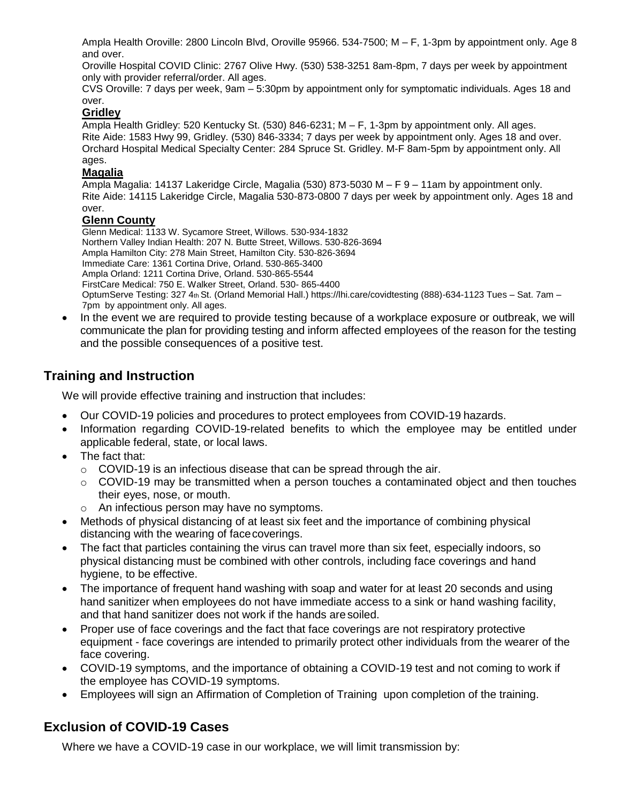Ampla Health Oroville: 2800 Lincoln Blvd, Oroville 95966. 534-7500; M – F, 1-3pm by appointment only. Age 8 and over.

Oroville Hospital COVID Clinic: 2767 Olive Hwy. (530) 538-3251 8am-8pm, 7 days per week by appointment only with provider referral/order. All ages.

CVS Oroville: 7 days per week, 9am – 5:30pm by appointment only for symptomatic individuals. Ages 18 and over.

#### **Gridley**

Ampla Health Gridley: 520 Kentucky St. (530) 846-6231; M – F, 1-3pm by appointment only. All ages. Rite Aide: 1583 Hwy 99, Gridley. (530) 846-3334; 7 days per week by appointment only. Ages 18 and over. Orchard Hospital Medical Specialty Center: 284 Spruce St. Gridley. M-F 8am-5pm by appointment only. All ages.

#### **Magalia**

Ampla Magalia: 14137 Lakeridge Circle, Magalia (530) 873-5030 M – F 9 – 11am by appointment only. Rite Aide: 14115 Lakeridge Circle, Magalia 530-873-0800 7 days per week by appointment only. Ages 18 and over.

#### **Glenn County**

Glenn Medical: 1133 W. Sycamore Street, Willows. 530-934-1832 Northern Valley Indian Health: 207 N. Butte Street, Willows. 530-826-3694 Ampla Hamilton City: 278 Main Street, Hamilton City. 530-826-3694 Immediate Care: 1361 Cortina Drive, Orland. 530-865-3400 Ampla Orland: 1211 Cortina Drive, Orland. 530-865-5544 FirstCare Medical: 750 E. Walker Street, Orland. 530- 865-4400 OptumServe Testing: 327 4th St. (Orland Memorial Hall.) https://lhi.care/covidtesting (888)-634-1123 Tues – Sat. 7am – 7pm by appointment only. All ages.

• In the event we are required to provide testing because of a workplace exposure or outbreak, we will communicate the plan for providing testing and inform affected employees of the reason for the testing and the possible consequences of a positive test.

### **Training and Instruction**

We will provide effective training and instruction that includes:

- Our COVID-19 policies and procedures to protect employees from COVID-19 hazards.
- Information regarding COVID-19-related benefits to which the employee may be entitled under applicable federal, state, or local laws.
- The fact that:
	- o COVID-19 is an infectious disease that can be spread through the air.
	- $\circ$  COVID-19 may be transmitted when a person touches a contaminated object and then touches their eyes, nose, or mouth.
	- An infectious person may have no symptoms.
- Methods of physical distancing of at least six feet and the importance of combining physical distancing with the wearing of facecoverings.
- The fact that particles containing the virus can travel more than six feet, especially indoors, so physical distancing must be combined with other controls, including face coverings and hand hygiene, to be effective.
- The importance of frequent hand washing with soap and water for at least 20 seconds and using hand sanitizer when employees do not have immediate access to a sink or hand washing facility, and that hand sanitizer does not work if the hands aresoiled.
- Proper use of face coverings and the fact that face coverings are not respiratory protective equipment - face coverings are intended to primarily protect other individuals from the wearer of the face covering.
- COVID-19 symptoms, and the importance of obtaining a COVID-19 test and not coming to work if the employee has COVID-19 symptoms.
- Employees will sign an Affirmation of Completion of Training upon completion of the training.

# **Exclusion of COVID-19 Cases**

Where we have a COVID-19 case in our workplace, we will limit transmission by: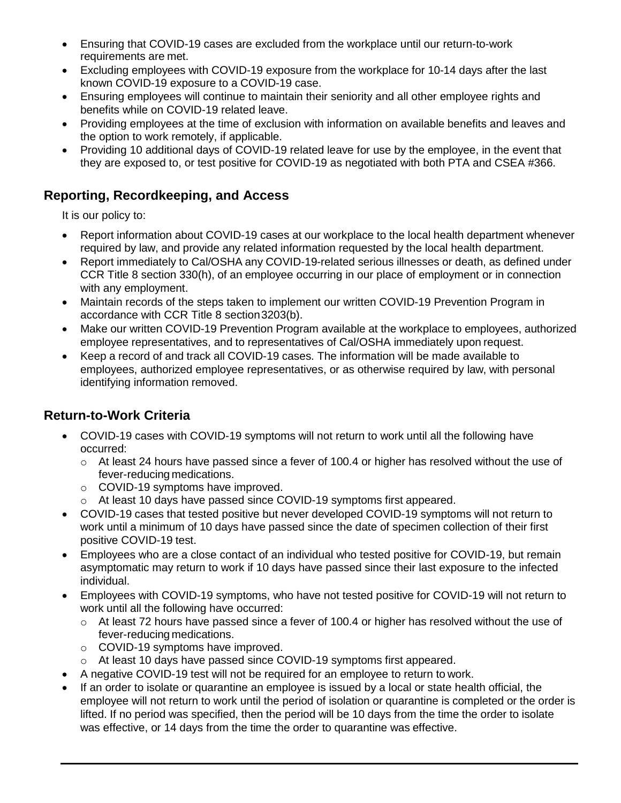- Ensuring that COVID-19 cases are excluded from the workplace until our return-to-work requirements are met.
- Excluding employees with COVID-19 exposure from the workplace for 10-14 days after the last known COVID-19 exposure to a COVID-19 case.
- Ensuring employees will continue to maintain their seniority and all other employee rights and benefits while on COVID-19 related leave.
- Providing employees at the time of exclusion with information on available benefits and leaves and the option to work remotely, if applicable.
- Providing 10 additional days of COVID-19 related leave for use by the employee, in the event that they are exposed to, or test positive for COVID-19 as negotiated with both PTA and CSEA #366.

### **Reporting, Recordkeeping, and Access**

It is our policy to:

- Report information about COVID-19 cases at our workplace to the local health department whenever required by law, and provide any related information requested by the local health department.
- Report immediately to Cal/OSHA any COVID-19-related serious illnesses or death, as defined under CCR Title 8 section 330(h), of an employee occurring in our place of employment or in connection with any employment.
- Maintain records of the steps taken to implement our written COVID-19 Prevention Program in accordance with CCR Title 8 section3203(b).
- Make our written COVID-19 Prevention Program available at the workplace to employees, authorized employee representatives, and to representatives of Cal/OSHA immediately upon request.
- Keep a record of and track all COVID-19 cases. The information will be made available to employees, authorized employee representatives, or as otherwise required by law, with personal identifying information removed.

# **Return-to-Work Criteria**

- COVID-19 cases with COVID-19 symptoms will not return to work until all the following have occurred:
	- o At least 24 hours have passed since a fever of 100.4 or higher has resolved without the use of fever-reducing medications.
	- o COVID-19 symptoms have improved.
	- o At least 10 days have passed since COVID-19 symptoms first appeared.
- COVID-19 cases that tested positive but never developed COVID-19 symptoms will not return to work until a minimum of 10 days have passed since the date of specimen collection of their first positive COVID-19 test.
- Employees who are a close contact of an individual who tested positive for COVID-19, but remain asymptomatic may return to work if 10 days have passed since their last exposure to the infected individual.
- Employees with COVID-19 symptoms, who have not tested positive for COVID-19 will not return to work until all the following have occurred:
	- $\circ$  At least 72 hours have passed since a fever of 100.4 or higher has resolved without the use of fever-reducing medications.
	- o COVID-19 symptoms have improved.
	- o At least 10 days have passed since COVID-19 symptoms first appeared.
- A negative COVID-19 test will not be required for an employee to return to work.
- If an order to isolate or quarantine an employee is issued by a local or state health official, the employee will not return to work until the period of isolation or quarantine is completed or the order is lifted. If no period was specified, then the period will be 10 days from the time the order to isolate was effective, or 14 days from the time the order to quarantine was effective.